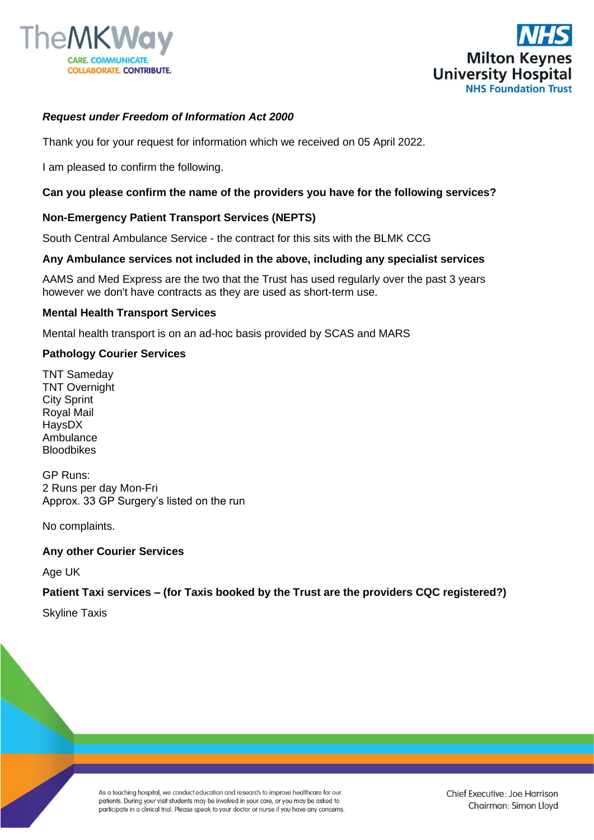



# *Request under Freedom of Information Act 2000*

Thank you for your request for information which we received on 05 April 2022.

I am pleased to confirm the following.

## **Can you please confirm the name of the providers you have for the following services?**

## **Non-Emergency Patient Transport Services (NEPTS)**

South Central Ambulance Service - the contract for this sits with the BLMK CCG

### **Any Ambulance services not included in the above, including any specialist services**

AAMS and Med Express are the two that the Trust has used regularly over the past 3 years however we don't have contracts as they are used as short-term use.

### **Mental Health Transport Services**

Mental health transport is on an ad-hoc basis provided by SCAS and MARS

### **Pathology Courier Services**

TNT Sameday TNT Overnight **City Sprint** Royal Mail HaysDX Ambulance Bloodbikes

GP Runs: 2 Runs per day Mon-Fri Approx. 33 GP Surgery's listed on the run

No complaints.

#### **Any other Courier Services**

Age UK

## **Patient Taxi services – (for Taxis booked by the Trust are the providers CQC registered?)**

Skyline Taxis

As a teaching hospital, we conduct education and research to improve healthcare for our patients. During your visit students may be involved in your care, or you may be asked to participate in a clinical trial. Please speak to your doctor or nurse if you have any concerns.